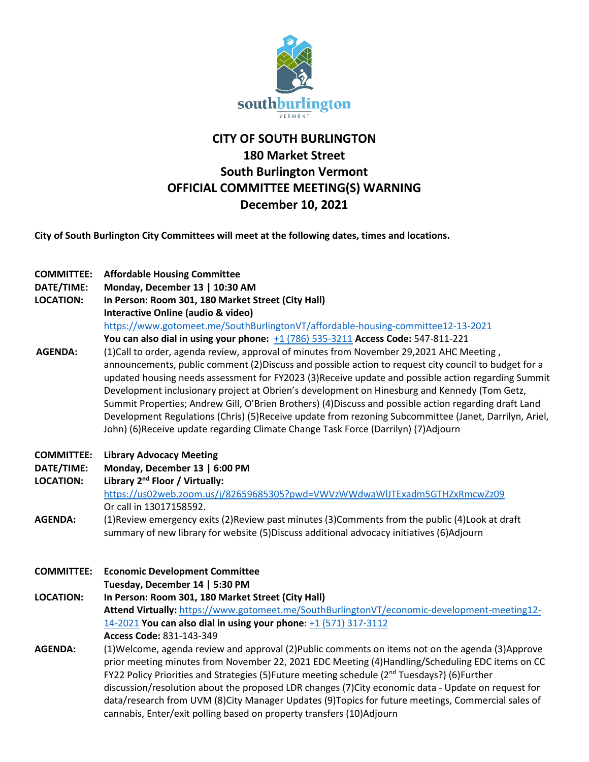

# **CITY OF SOUTH BURLINGTON 180 Market Street South Burlington Vermont OFFICIAL COMMITTEE MEETING(S) WARNING December 10, 2021**

**City of South Burlington City Committees will meet at the following dates, times and locations.** 

| <b>COMMITTEE:</b><br>DATE/TIME:<br><b>LOCATION:</b><br><b>AGENDA:</b> | <b>Affordable Housing Committee</b><br>Monday, December 13   10:30 AM<br>In Person: Room 301, 180 Market Street (City Hall)<br><b>Interactive Online (audio &amp; video)</b><br>https://www.gotomeet.me/SouthBurlingtonVT/affordable-housing-committee12-13-2021<br>You can also dial in using your phone: +1 (786) 535-3211 Access Code: 547-811-221<br>(1) Call to order, agenda review, approval of minutes from November 29, 2021 AHC Meeting,<br>announcements, public comment (2)Discuss and possible action to request city council to budget for a<br>updated housing needs assessment for FY2023 (3)Receive update and possible action regarding Summit<br>Development inclusionary project at Obrien's development on Hinesburg and Kennedy (Tom Getz,<br>Summit Properties; Andrew Gill, O'Brien Brothers) (4) Discuss and possible action regarding draft Land<br>Development Regulations (Chris) (5)Receive update from rezoning Subcommittee (Janet, Darrilyn, Ariel,<br>John) (6) Receive update regarding Climate Change Task Force (Darrilyn) (7) Adjourn |
|-----------------------------------------------------------------------|----------------------------------------------------------------------------------------------------------------------------------------------------------------------------------------------------------------------------------------------------------------------------------------------------------------------------------------------------------------------------------------------------------------------------------------------------------------------------------------------------------------------------------------------------------------------------------------------------------------------------------------------------------------------------------------------------------------------------------------------------------------------------------------------------------------------------------------------------------------------------------------------------------------------------------------------------------------------------------------------------------------------------------------------------------------------------|
| <b>COMMITTEE:</b><br>DATE/TIME:<br><b>LOCATION:</b><br><b>AGENDA:</b> | <b>Library Advocacy Meeting</b><br>Monday, December 13   6:00 PM<br>Library 2 <sup>nd</sup> Floor / Virtually:<br>https://us02web.zoom.us/j/82659685305?pwd=VWVzWWdwaWIJTExadm5GTHZxRmcwZz09<br>Or call in 13017158592.<br>(1) Review emergency exits (2) Review past minutes (3) Comments from the public (4) Look at draft<br>summary of new library for website (5)Discuss additional advocacy initiatives (6)Adjourn                                                                                                                                                                                                                                                                                                                                                                                                                                                                                                                                                                                                                                                   |
| <b>COMMITTEE:</b>                                                     | <b>Economic Development Committee</b><br>Tuesday, December 14   5:30 PM                                                                                                                                                                                                                                                                                                                                                                                                                                                                                                                                                                                                                                                                                                                                                                                                                                                                                                                                                                                                    |
| <b>LOCATION:</b>                                                      | In Person: Room 301, 180 Market Street (City Hall)<br>Attend Virtually: https://www.gotomeet.me/SouthBurlingtonVT/economic-development-meeting12-<br>14-2021 You can also dial in using your phone: +1 (571) 317-3112<br>Access Code: 831-143-349                                                                                                                                                                                                                                                                                                                                                                                                                                                                                                                                                                                                                                                                                                                                                                                                                          |
| <b>AGENDA:</b>                                                        | (1) Welcome, agenda review and approval (2) Public comments on items not on the agenda (3) Approve<br>prior meeting minutes from November 22, 2021 EDC Meeting (4)Handling/Scheduling EDC items on CC<br>FY22 Policy Priorities and Strategies (5)Future meeting schedule (2 <sup>nd</sup> Tuesdays?) (6)Further<br>discussion/resolution about the proposed LDR changes (7)City economic data - Update on request for<br>data/research from UVM (8)City Manager Updates (9)Topics for future meetings, Commercial sales of<br>cannabis, Enter/exit polling based on property transfers (10)Adjourn                                                                                                                                                                                                                                                                                                                                                                                                                                                                        |